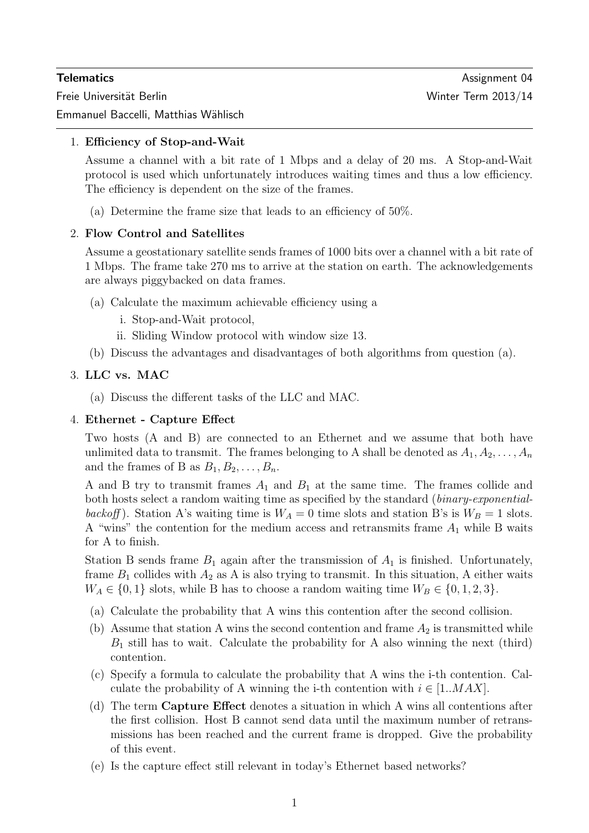Freie Universität Berlin Winter Term 2013/14

Emmanuel Baccelli, Matthias Wählisch

## 1. Efficiency of Stop-and-Wait

Assume a channel with a bit rate of 1 Mbps and a delay of 20 ms. A Stop-and-Wait protocol is used which unfortunately introduces waiting times and thus a low efficiency. The efficiency is dependent on the size of the frames.

(a) Determine the frame size that leads to an efficiency of 50%.

### 2. Flow Control and Satellites

Assume a geostationary satellite sends frames of 1000 bits over a channel with a bit rate of 1 Mbps. The frame take 270 ms to arrive at the station on earth. The acknowledgements are always piggybacked on data frames.

- (a) Calculate the maximum achievable efficiency using a
	- i. Stop-and-Wait protocol,
	- ii. Sliding Window protocol with window size 13.
- (b) Discuss the advantages and disadvantages of both algorithms from question (a).

### 3. LLC vs. MAC

(a) Discuss the different tasks of the LLC and MAC.

### 4. Ethernet - Capture Effect

Two hosts (A and B) are connected to an Ethernet and we assume that both have unlimited data to transmit. The frames belonging to A shall be denoted as  $A_1, A_2, \ldots, A_n$ and the frames of B as  $B_1, B_2, \ldots, B_n$ .

A and B try to transmit frames  $A_1$  and  $B_1$  at the same time. The frames collide and both hosts select a random waiting time as specified by the standard (binary-exponentialbackoff). Station A's waiting time is  $W_A = 0$  time slots and station B's is  $W_B = 1$  slots. A "wins" the contention for the medium access and retransmits frame  $A_1$  while B waits for A to finish.

Station B sends frame  $B_1$  again after the transmission of  $A_1$  is finished. Unfortunately, frame  $B_1$  collides with  $A_2$  as A is also trying to transmit. In this situation, A either waits  $W_A \in \{0, 1\}$  slots, while B has to choose a random waiting time  $W_B \in \{0, 1, 2, 3\}.$ 

- (a) Calculate the probability that A wins this contention after the second collision.
- (b) Assume that station A wins the second contention and frame  $A_2$  is transmitted while  $B_1$  still has to wait. Calculate the probability for A also winning the next (third) contention.
- (c) Specify a formula to calculate the probability that A wins the i-th contention. Calculate the probability of A winning the i-th contention with  $i \in [1..MAX]$ .
- (d) The term Capture Effect denotes a situation in which A wins all contentions after the first collision. Host B cannot send data until the maximum number of retransmissions has been reached and the current frame is dropped. Give the probability of this event.
- (e) Is the capture effect still relevant in today's Ethernet based networks?